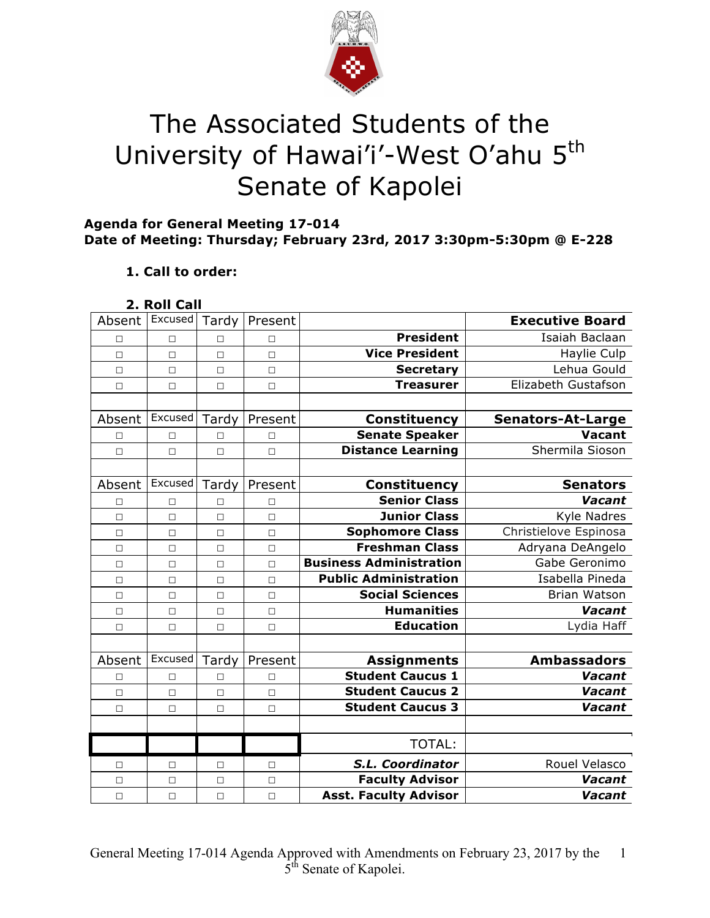

# The Associated Students of the University of Hawai'i'-West O'ahu 5<sup>th</sup> Senate of Kapolei

## **Agenda for General Meeting 17-014 Date of Meeting: Thursday; February 23rd, 2017 3:30pm-5:30pm @ E-228**

## **1. Call to order:**

#### **2. Roll Call**

| Absent | Excused | Tardy  | Present |                                | <b>Executive Board</b>   |
|--------|---------|--------|---------|--------------------------------|--------------------------|
| П      | $\Box$  | $\Box$ | $\Box$  | <b>President</b>               | Isaiah Baclaan           |
| $\Box$ | $\Box$  | $\Box$ | $\Box$  | <b>Vice President</b>          | Haylie Culp              |
| $\Box$ | П       | $\Box$ | $\Box$  | <b>Secretary</b>               | Lehua Gould              |
| $\Box$ | $\Box$  | $\Box$ | $\Box$  | <b>Treasurer</b>               | Elizabeth Gustafson      |
|        |         |        |         |                                |                          |
| Absent | Excused | Tardy  | Present | <b>Constituency</b>            | <b>Senators-At-Large</b> |
| $\Box$ | $\Box$  | $\Box$ | $\Box$  | <b>Senate Speaker</b>          | <b>Vacant</b>            |
| $\Box$ | $\Box$  | $\Box$ | $\Box$  | <b>Distance Learning</b>       | Shermila Sioson          |
|        |         |        |         |                                |                          |
| Absent | Excused | Tardy  | Present | <b>Constituency</b>            | <b>Senators</b>          |
| □      | $\Box$  | $\Box$ | $\Box$  | <b>Senior Class</b>            | Vacant                   |
| $\Box$ | $\Box$  | $\Box$ | $\Box$  | <b>Junior Class</b>            | Kyle Nadres              |
| $\Box$ | $\Box$  | $\Box$ | $\Box$  | <b>Sophomore Class</b>         | Christielove Espinosa    |
| $\Box$ | $\Box$  | $\Box$ | $\Box$  | <b>Freshman Class</b>          | Adryana DeAngelo         |
| $\Box$ | $\Box$  | $\Box$ | $\Box$  | <b>Business Administration</b> | Gabe Geronimo            |
| $\Box$ | $\Box$  | $\Box$ | $\Box$  | <b>Public Administration</b>   | Isabella Pineda          |
| $\Box$ | $\Box$  | $\Box$ | $\Box$  | <b>Social Sciences</b>         | <b>Brian Watson</b>      |
| $\Box$ | $\Box$  | $\Box$ | $\Box$  | <b>Humanities</b>              | Vacant                   |
| $\Box$ | $\Box$  | $\Box$ | $\Box$  | <b>Education</b>               | Lydia Haff               |
|        |         |        |         |                                |                          |
| Absent | Excused | Tardy  | Present | <b>Assignments</b>             | <b>Ambassadors</b>       |
| $\Box$ | $\Box$  | $\Box$ | $\Box$  | <b>Student Caucus 1</b>        | Vacant                   |
| $\Box$ | $\Box$  | $\Box$ | $\Box$  | <b>Student Caucus 2</b>        | Vacant                   |
| $\Box$ | $\Box$  | $\Box$ | $\Box$  | <b>Student Caucus 3</b>        | Vacant                   |
|        |         |        |         |                                |                          |
|        |         |        |         | <b>TOTAL:</b>                  |                          |
| □      | □       | $\Box$ | $\Box$  | S.L. Coordinator               | Rouel Velasco            |
| $\Box$ | $\Box$  | $\Box$ | $\Box$  | <b>Faculty Advisor</b>         | Vacant                   |
| $\Box$ | $\Box$  | $\Box$ | $\Box$  | <b>Asst. Faculty Advisor</b>   | Vacant                   |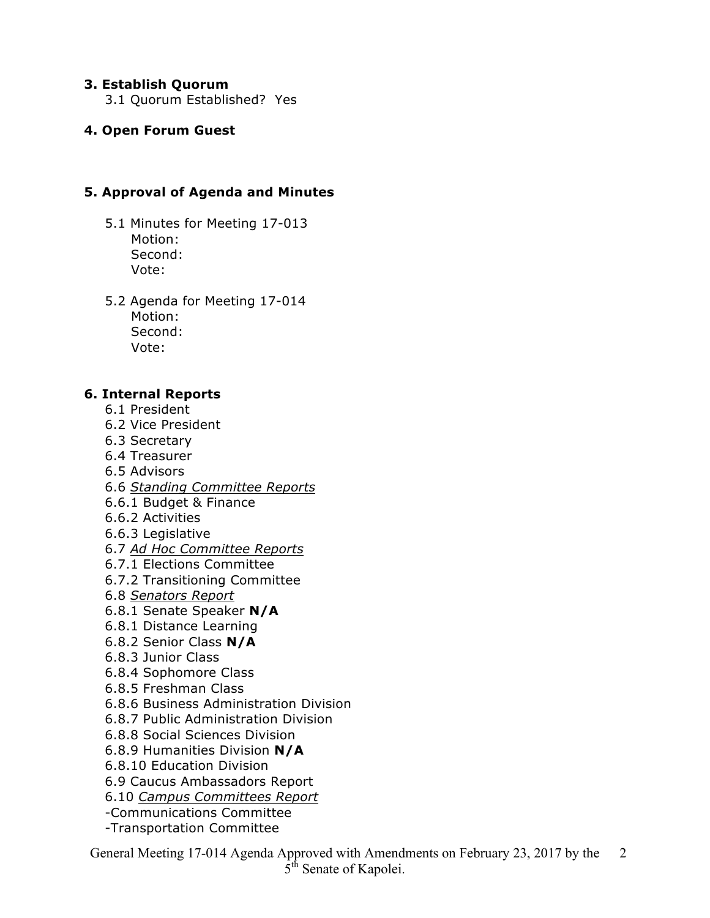#### **3. Establish Quorum**

3.1 Quorum Established? Yes

## **4. Open Forum Guest**

## **5. Approval of Agenda and Minutes**

- 5.1 Minutes for Meeting 17-013 Motion: Second: Vote:
- 5.2 Agenda for Meeting 17-014 Motion: Second: Vote:

#### **6. Internal Reports**

- 6.1 President
- 6.2 Vice President
- 6.3 Secretary
- 6.4 Treasurer
- 6.5 Advisors
- 6.6 *Standing Committee Reports*
- 6.6.1 Budget & Finance
- 6.6.2 Activities
- 6.6.3 Legislative
- 6.7 *Ad Hoc Committee Reports*
- 6.7.1 Elections Committee
- 6.7.2 Transitioning Committee
- 6.8 *Senators Report*
- 6.8.1 Senate Speaker **N/A**
- 6.8.1 Distance Learning
- 6.8.2 Senior Class **N/A**
- 6.8.3 Junior Class
- 6.8.4 Sophomore Class
- 6.8.5 Freshman Class
- 6.8.6 Business Administration Division
- 6.8.7 Public Administration Division
- 6.8.8 Social Sciences Division
- 6.8.9 Humanities Division **N/A**
- 6.8.10 Education Division
- 6.9 Caucus Ambassadors Report
- 6.10 *Campus Committees Report*
- -Communications Committee
- -Transportation Committee